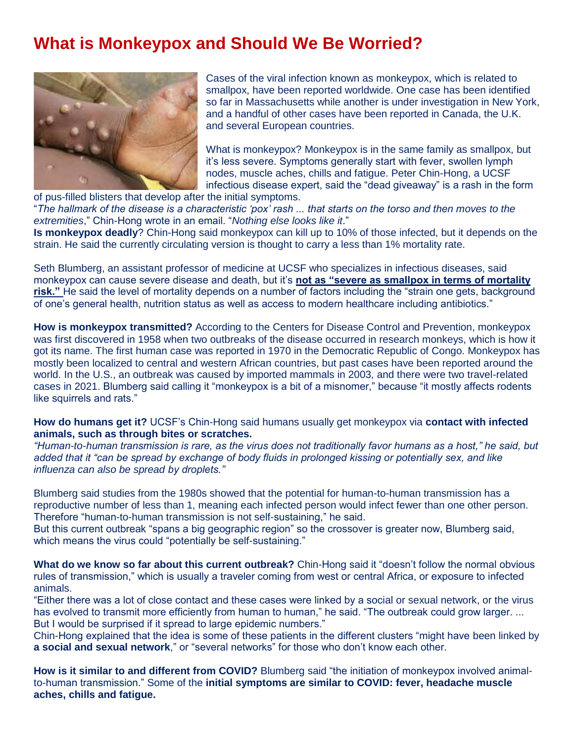## **What is Monkeypox and Should We Be Worried?**



Cases of the viral infection known as monkeypox, which is related to smallpox, have been reported worldwide. One case has been [identified](https://www.nytimes.com/2022/05/18/health/massachusetts-monkeypox.html)  [so far in Massachusetts](https://www.nytimes.com/2022/05/18/health/massachusetts-monkeypox.html) while another is [under investigation in New York,](https://twitter.com/nycHealthy/status/1527406751724752901) and a handful of other cases have been reported in Canada, the U.K. and several European countries.

What is monkeypox? Monkeypox is in the same family as smallpox, but it's less severe. Symptoms generally start with fever, swollen lymph nodes, muscle aches, chills and fatigue. Peter Chin-Hong, a UCSF infectious disease expert, said the "dead giveaway" is a rash in the form

of pus-filled blisters that develop after the initial symptoms.

"*The hallmark of the disease is a characteristic 'pox' rash ... that starts on the torso and then moves to the extremities*," Chin-Hong wrote in an email. "*Nothing else looks like it*."

**Is monkeypox deadly**? Chin-Hong said monkeypox can kill up to 10% of those infected, but it depends on the strain. He said the currently circulating version is thought to carry a less than 1% mortality rate.

Seth Blumberg, an assistant professor of medicine at UCSF who specializes in infectious diseases, said monkeypox can cause severe disease and death, but it's **not as "severe as smallpox in terms of mortality risk."** He said the level of mortality depends on a number of factors including the "strain one gets, background of one's general health, nutrition status as well as access to modern healthcare including antibiotics."

**How is monkeypox transmitted?** According to the [Centers for Disease Control and Prevention,](https://www.cdc.gov/poxvirus/monkeypox/about.html) monkeypox was first discovered in 1958 when two outbreaks of the disease occurred in research monkeys, which is how it got its name. The first human case was reported in 1970 in the Democratic Republic of Congo. Monkeypox has mostly been localized to central and western African countries, but past cases have been reported around the world. In the U.S., an outbreak was caused by imported mammals in 2003, and there were two travel-related cases in 2021. Blumberg said calling it "monkeypox is a bit of a misnomer," because "it mostly affects rodents like squirrels and rats."

**How do humans get it?** UCSF's Chin-Hong said humans usually get monkeypox via **contact with infected animals, such as through bites or scratches.**

*"Human-to-human transmission is rare, as the virus does not traditionally favor humans as a host," he said, but added that it "can be spread by exchange of body fluids in prolonged kissing or potentially sex, and like influenza can also be spread by droplets."*

Blumberg said studies from the 1980s showed that the potential for human-to-human transmission has a reproductive number of less than 1, meaning each infected person would infect fewer than one other person. Therefore "human-to-human transmission is not self-sustaining," he said.

But this current outbreak "spans a big geographic region" so the crossover is greater now, Blumberg said, which means the virus could "potentially be self-sustaining."

**What do we know so far about this current outbreak?** Chin-Hong said it "doesn't follow the normal obvious rules of transmission," which is usually a traveler coming from west or central Africa, or exposure to infected animals.

"Either there was a lot of close contact and these cases were linked by a social or sexual network, or the virus has evolved to transmit more efficiently from human to human," he said. "The outbreak could grow larger. ... But I would be surprised if it spread to large epidemic numbers."

Chin-Hong explained that the idea is some of these patients in the different clusters "might have been linked by **a social and sexual network**," or "several networks" for those who don't know each other.

**How is it similar to and different from COVID?** Blumberg said "the initiation of monkeypox involved animalto-human transmission." Some of the **initial symptoms are similar to COVID: fever, headache muscle aches, chills and fatigue.**